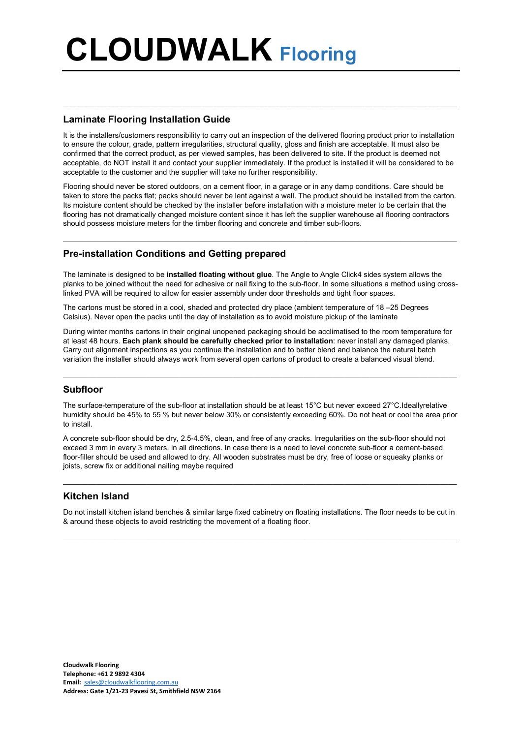# CLOUDWALK Flooring

#### Laminate Flooring Installation Guide

It is the installers/customers responsibility to carry out an inspection of the delivered flooring product prior to installation to ensure the colour, grade, pattern irregularities, structural quality, gloss and finish are acceptable. It must also be confirmed that the correct product, as per viewed samples, has been delivered to site. If the product is deemed not acceptable, do NOT install it and contact your supplier immediately. If the product is installed it will be considered to be acceptable to the customer and the supplier will take no further responsibility.

 $\_$  , and the state of the state of the state of the state of the state of the state of the state of the state of the state of the state of the state of the state of the state of the state of the state of the state of the

Flooring should never be stored outdoors, on a cement floor, in a garage or in any damp conditions. Care should be taken to store the packs flat; packs should never be lent against a wall. The product should be installed from the carton. Its moisture content should be checked by the installer before installation with a moisture meter to be certain that the flooring has not dramatically changed moisture content since it has left the supplier warehouse all flooring contractors should possess moisture meters for the timber flooring and concrete and timber sub-floors.

 $\_$  ,  $\_$  ,  $\_$  ,  $\_$  ,  $\_$  ,  $\_$  ,  $\_$  ,  $\_$  ,  $\_$  ,  $\_$  ,  $\_$  ,  $\_$  ,  $\_$  ,  $\_$  ,  $\_$  ,  $\_$  ,  $\_$  ,  $\_$  ,  $\_$  ,  $\_$  ,  $\_$  ,  $\_$  ,  $\_$  ,  $\_$  ,  $\_$  ,  $\_$  ,  $\_$  ,  $\_$  ,  $\_$  ,  $\_$  ,  $\_$  ,  $\_$  ,  $\_$  ,  $\_$  ,  $\_$  ,  $\_$  ,  $\_$  ,

#### Pre-installation Conditions and Getting prepared

The laminate is designed to be installed floating without glue. The Angle to Angle Click4 sides system allows the planks to be joined without the need for adhesive or nail fixing to the sub-floor. In some situations a method using crosslinked PVA will be required to allow for easier assembly under door thresholds and tight floor spaces.

The cartons must be stored in a cool, shaded and protected dry place (ambient temperature of 18 –25 Degrees Celsius). Never open the packs until the day of installation as to avoid moisture pickup of the laminate

During winter months cartons in their original unopened packaging should be acclimatised to the room temperature for at least 48 hours. Each plank should be carefully checked prior to installation: never install any damaged planks. Carry out alignment inspections as you continue the installation and to better blend and balance the natural batch variation the installer should always work from several open cartons of product to create a balanced visual blend.

#### Subfloor

The surface-temperature of the sub-floor at installation should be at least 15°C but never exceed 27°C.Ideallyrelative humidity should be 45% to 55 % but never below 30% or consistently exceeding 60%. Do not heat or cool the area prior to install.

 $\_$  ,  $\_$  ,  $\_$  ,  $\_$  ,  $\_$  ,  $\_$  ,  $\_$  ,  $\_$  ,  $\_$  ,  $\_$  ,  $\_$  ,  $\_$  ,  $\_$  ,  $\_$  ,  $\_$  ,  $\_$  ,  $\_$  ,  $\_$  ,  $\_$  ,  $\_$  ,  $\_$  ,  $\_$  ,  $\_$  ,  $\_$  ,  $\_$  ,  $\_$  ,  $\_$  ,  $\_$  ,  $\_$  ,  $\_$  ,  $\_$  ,  $\_$  ,  $\_$  ,  $\_$  ,  $\_$  ,  $\_$  ,  $\_$  ,

A concrete sub-floor should be dry, 2.5-4.5%, clean, and free of any cracks. Irregularities on the sub-floor should not exceed 3 mm in every 3 meters, in all directions. In case there is a need to level concrete sub-floor a cement-based floor-filler should be used and allowed to dry. All wooden substrates must be dry, free of loose or squeaky planks or joists, screw fix or additional nailing maybe required

### Kitchen Island

Do not install kitchen island benches & similar large fixed cabinetry on floating installations. The floor needs to be cut in & around these objects to avoid restricting the movement of a floating floor.

 $\_$  ,  $\_$  ,  $\_$  ,  $\_$  ,  $\_$  ,  $\_$  ,  $\_$  ,  $\_$  ,  $\_$  ,  $\_$  ,  $\_$  ,  $\_$  ,  $\_$  ,  $\_$  ,  $\_$  ,  $\_$  ,  $\_$  ,  $\_$  ,  $\_$  ,  $\_$  ,  $\_$  ,  $\_$  ,  $\_$  ,  $\_$  ,  $\_$  ,  $\_$  ,  $\_$  ,  $\_$  ,  $\_$  ,  $\_$  ,  $\_$  ,  $\_$  ,  $\_$  ,  $\_$  ,  $\_$  ,  $\_$  ,  $\_$  ,

 $\_$  ,  $\_$  ,  $\_$  ,  $\_$  ,  $\_$  ,  $\_$  ,  $\_$  ,  $\_$  ,  $\_$  ,  $\_$  ,  $\_$  ,  $\_$  ,  $\_$  ,  $\_$  ,  $\_$  ,  $\_$  ,  $\_$  ,  $\_$  ,  $\_$  ,  $\_$  ,  $\_$  ,  $\_$  ,  $\_$  ,  $\_$  ,  $\_$  ,  $\_$  ,  $\_$  ,  $\_$  ,  $\_$  ,  $\_$  ,  $\_$  ,  $\_$  ,  $\_$  ,  $\_$  ,  $\_$  ,  $\_$  ,  $\_$  ,